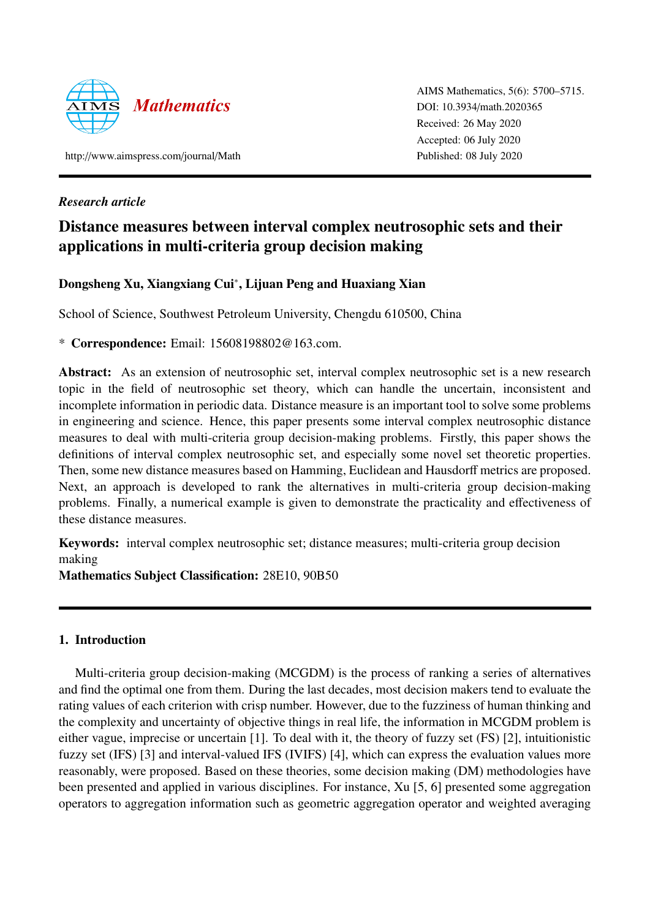

AIMS Mathematics, 5(6): 5700–5715. DOI: 10.3934/[math.2020365](http://dx.doi.org/ 10.3934/math.2020365) Received: 26 May 2020 Accepted: 06 July 2020 Published: 08 July 2020

http://[www.aimspress.com](http://www.aimspress.com/journal/Math)/journal/Math

## *Research article*

# Distance measures between interval complex neutrosophic sets and their applications in multi-criteria group decision making

## Dongsheng Xu, Xiangxiang Cui<sup>∗</sup> , Lijuan Peng and Huaxiang Xian

School of Science, Southwest Petroleum University, Chengdu 610500, China

\* Correspondence: Email: 15608198802@163.com.

Abstract: As an extension of neutrosophic set, interval complex neutrosophic set is a new research topic in the field of neutrosophic set theory, which can handle the uncertain, inconsistent and incomplete information in periodic data. Distance measure is an important tool to solve some problems in engineering and science. Hence, this paper presents some interval complex neutrosophic distance measures to deal with multi-criteria group decision-making problems. Firstly, this paper shows the definitions of interval complex neutrosophic set, and especially some novel set theoretic properties. Then, some new distance measures based on Hamming, Euclidean and Hausdorff metrics are proposed. Next, an approach is developed to rank the alternatives in multi-criteria group decision-making problems. Finally, a numerical example is given to demonstrate the practicality and effectiveness of these distance measures.

Keywords: interval complex neutrosophic set; distance measures; multi-criteria group decision making

Mathematics Subject Classification: 28E10, 90B50

## 1. Introduction

Multi-criteria group decision-making (MCGDM) is the process of ranking a series of alternatives and find the optimal one from them. During the last decades, most decision makers tend to evaluate the rating values of each criterion with crisp number. However, due to the fuzziness of human thinking and the complexity and uncertainty of objective things in real life, the information in MCGDM problem is either vague, imprecise or uncertain [\[1\]](#page-14-0). To deal with it, the theory of fuzzy set (FS) [\[2\]](#page-14-1), intuitionistic fuzzy set (IFS) [\[3\]](#page-14-2) and interval-valued IFS (IVIFS) [\[4\]](#page-14-3), which can express the evaluation values more reasonably, were proposed. Based on these theories, some decision making (DM) methodologies have been presented and applied in various disciplines. For instance, Xu [\[5,](#page-14-4) [6\]](#page-14-5) presented some aggregation operators to aggregation information such as geometric aggregation operator and weighted averaging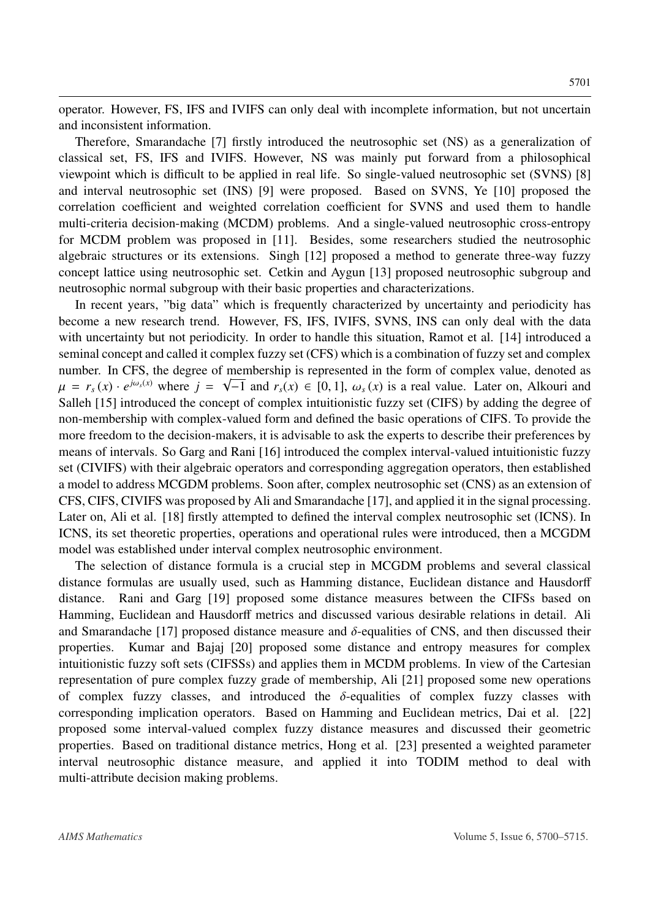operator. However, FS, IFS and IVIFS can only deal with incomplete information, but not uncertain and inconsistent information.

Therefore, Smarandache [\[7\]](#page-14-6) firstly introduced the neutrosophic set (NS) as a generalization of classical set, FS, IFS and IVIFS. However, NS was mainly put forward from a philosophical viewpoint which is difficult to be applied in real life. So single-valued neutrosophic set (SVNS) [\[8\]](#page-14-7) and interval neutrosophic set (INS) [\[9\]](#page-14-8) were proposed. Based on SVNS, Ye [\[10\]](#page-14-9) proposed the correlation coefficient and weighted correlation coefficient for SVNS and used them to handle multi-criteria decision-making (MCDM) problems. And a single-valued neutrosophic cross-entropy for MCDM problem was proposed in [\[11\]](#page-14-10). Besides, some researchers studied the neutrosophic algebraic structures or its extensions. Singh [\[12\]](#page-14-11) proposed a method to generate three-way fuzzy concept lattice using neutrosophic set. Cetkin and Aygun [\[13\]](#page-14-12) proposed neutrosophic subgroup and neutrosophic normal subgroup with their basic properties and characterizations.

In recent years, "big data" which is frequently characterized by uncertainty and periodicity has become a new research trend. However, FS, IFS, IVIFS, SVNS, INS can only deal with the data with uncertainty but not periodicity. In order to handle this situation, Ramot et al. [\[14\]](#page-14-13) introduced a seminal concept and called it complex fuzzy set (CFS) which is a combination of fuzzy set and complex number. In CFS, the degree of membership is represented in the form of complex value, denoted as  $\mu = r_s(x) \cdot e^{j\omega_s(x)}$  where  $j = \sqrt{-1}$  and  $r_s(x) \in [0, 1]$ ,  $\omega_s(x)$  is a real value. Later on, Alkouri and Salleb [15] introduced the concept of complex intuitionistic fuzzy set (CIES) by adding the degree of Salleh [\[15\]](#page-14-14) introduced the concept of complex intuitionistic fuzzy set (CIFS) by adding the degree of non-membership with complex-valued form and defined the basic operations of CIFS. To provide the more freedom to the decision-makers, it is advisable to ask the experts to describe their preferences by means of intervals. So Garg and Rani [\[16\]](#page-14-15) introduced the complex interval-valued intuitionistic fuzzy set (CIVIFS) with their algebraic operators and corresponding aggregation operators, then established a model to address MCGDM problems. Soon after, complex neutrosophic set (CNS) as an extension of CFS, CIFS, CIVIFS was proposed by Ali and Smarandache [\[17\]](#page-14-16), and applied it in the signal processing. Later on, Ali et al. [\[18\]](#page-14-17) firstly attempted to defined the interval complex neutrosophic set (ICNS). In ICNS, its set theoretic properties, operations and operational rules were introduced, then a MCGDM model was established under interval complex neutrosophic environment.

The selection of distance formula is a crucial step in MCGDM problems and several classical distance formulas are usually used, such as Hamming distance, Euclidean distance and Hausdorff distance. Rani and Garg [\[19\]](#page-14-18) proposed some distance measures between the CIFSs based on Hamming, Euclidean and Hausdorff metrics and discussed various desirable relations in detail. Ali and Smarandache [\[17\]](#page-14-16) proposed distance measure and  $\delta$ -equalities of CNS, and then discussed their properties. Kumar and Bajaj [20] proposed some distance and entropy measures for complex Kumar and Bajaj [\[20\]](#page-14-19) proposed some distance and entropy measures for complex intuitionistic fuzzy soft sets (CIFSSs) and applies them in MCDM problems. In view of the Cartesian representation of pure complex fuzzy grade of membership, Ali [\[21\]](#page-15-0) proposed some new operations of complex fuzzy classes, and introduced the  $\delta$ -equalities of complex fuzzy classes with corresponding implication operators. Based on Hamming and Euclidean metrics, Dai et al. [\[22\]](#page-15-1) proposed some interval-valued complex fuzzy distance measures and discussed their geometric properties. Based on traditional distance metrics, Hong et al. [\[23\]](#page-15-2) presented a weighted parameter interval neutrosophic distance measure, and applied it into TODIM method to deal with multi-attribute decision making problems.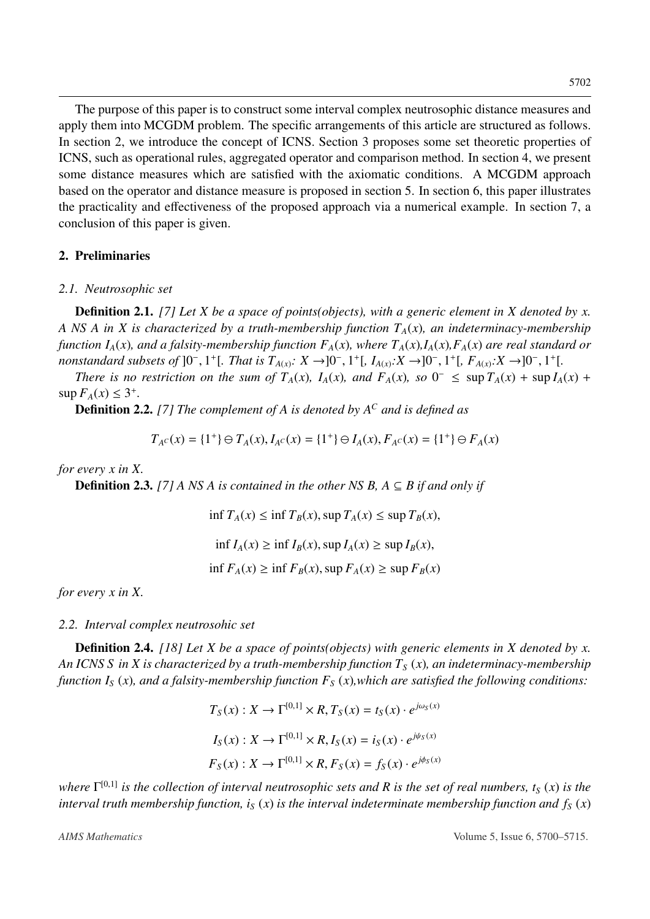The purpose of this paper is to construct some interval complex neutrosophic distance measures and apply them into MCGDM problem. The specific arrangements of this article are structured as follows. In section 2, we introduce the concept of ICNS. Section 3 proposes some set theoretic properties of ICNS, such as operational rules, aggregated operator and comparison method. In section 4, we present some distance measures which are satisfied with the axiomatic conditions. A MCGDM approach based on the operator and distance measure is proposed in section 5. In section 6, this paper illustrates the practicality and effectiveness of the proposed approach via a numerical example. In section 7, a conclusion of this paper is given.

## 2. Preliminaries

#### *2.1. Neutrosophic set*

Definition 2.1. *[\[7\]](#page-14-6) Let X be a space of points(objects), with a generic element in X denoted by x. A NS A in X is characterized by a truth-membership function TA*(*x*)*, an indeterminacy-membership function I<sub>A</sub>(x)</sub>, and a falsity-membership function*  $F_A(x)$ *, where*  $T_A(x)$ *,*  $I_A(x)$ *,*  $F_A(x)$  *are real standard or*  $\frac{1}{2}$  *nonstandard subsets of* ]0<sup>-</sup>, 1<sup>+</sup>[*, That is*  $T_{A(x)}$ :  $X \to 0$ <sup>[</sup>, 1<sup>+</sup>[*, I<sub><i>A*(*x*)</sub></sub>: $X \to 0$ <sup>[</sup>, 1<sup>+</sup>[*, F<sub><i>A*(*x*)</sub></sub>: $X \to 0$ <sup>[</sup>, 1<sup>+</sup>[*, There is no restriction on the sum of*  $T_{A}(x)$ ,  $I_{A}(x)$  and  $F_{A}($ 

*There is no restriction on the sum of*  $T_A(x)$ *,*  $I_A(x)$ *, and*  $F_A(x)$ *, so*  $0^- \leq \sup T_A(x) + \sup I_A(x) +$  $\sup F_A(x) \leq 3^+$ .

Definition 2.2. *[\[7\]](#page-14-6) The complement of A is denoted by A<sup>C</sup> and is defined as*

$$
T_{A}c(x) = \{1^+\} \oplus T_A(x), I_{A}c(x) = \{1^+\} \oplus I_A(x), F_{A}c(x) = \{1^+\} \oplus F_A(x)
$$

*for every x in X.*

**Definition 2.3.** *[\[7\]](#page-14-6) A NS A is contained in the other NS B,*  $A \subseteq B$  *if and only if* 

 $\inf T_A(x) \leq \inf T_B(x)$ ,  $\sup T_A(x) \leq \sup T_B(x)$ ,  $\inf I_A(x) \geq \inf I_B(x)$ ,  $\sup I_A(x) \geq \sup I_B(x)$ ,  $\inf F_A(x) \geq \inf F_B(x)$ ,  $\sup F_A(x) \geq \sup F_B(x)$ 

*for every x in X.*

#### *2.2. Interval complex neutrosohic set*

Definition 2.4. *[\[18\]](#page-14-17) Let X be a space of points(objects) with generic elements in X denoted by x. An ICNS S in X is characterized by a truth-membership function T<sup>S</sup>* (*x*)*, an indeterminacy-membership function I<sup>S</sup>* (*x*)*, and a falsity-membership function F<sup>S</sup>* (*x*)*,which are satisfied the following conditions:*

$$
T_S(x) : X \to \Gamma^{[0,1]} \times R, T_S(x) = t_S(x) \cdot e^{j\omega_S(x)}
$$
  

$$
I_S(x) : X \to \Gamma^{[0,1]} \times R, I_S(x) = i_S(x) \cdot e^{j\psi_S(x)}
$$
  

$$
F_S(x) : X \to \Gamma^{[0,1]} \times R, F_S(x) = f_S(x) \cdot e^{j\phi_S(x)}
$$

*where* Γ [0,1] *is the collection of interval neutrosophic sets and R is the set of real numbers, t<sup>S</sup>* (*x*) *is the interval truth membership function, i<sub>S</sub> (x) is the interval indeterminate membership function and*  $f_S(x)$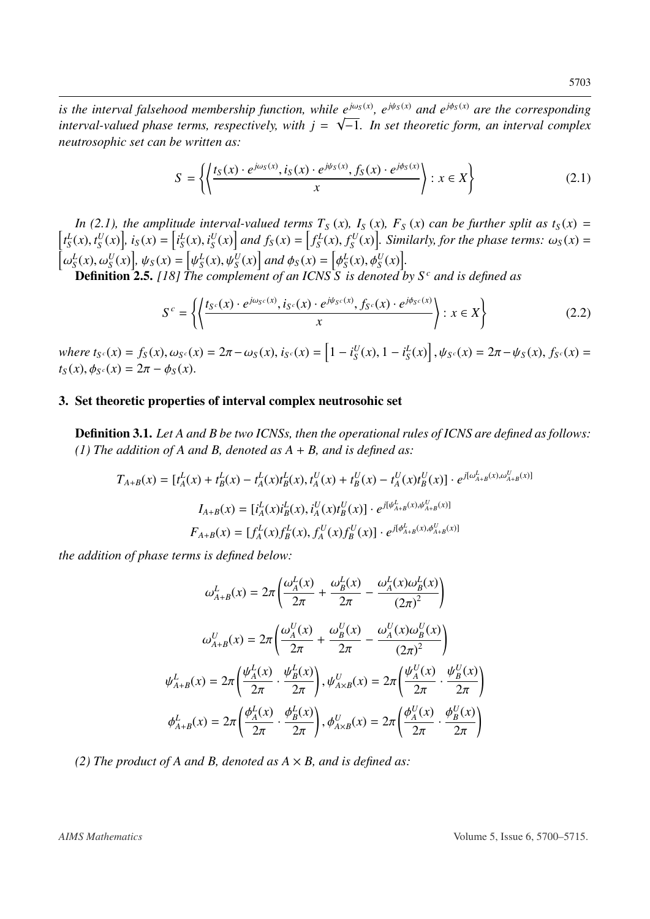*is the interval falsehood membership function, while*  $e^{j\omega_s(x)}$ *,*  $e^{j\psi_s(x)}$  *and*  $e^{j\phi_s(x)}$  *are the corresponding* interval-valued phase terms, respectively, with  $j = \sqrt{-1}$ . In set theoretic form, an interval complex *neutrosophic set can be written as:*

$$
S = \left\{ \left\{ \frac{t_S(x) \cdot e^{j\omega_S(x)}, i_S(x) \cdot e^{j\psi_S(x)}, f_S(x) \cdot e^{j\phi_S(x)}}{x} \right\} : x \in X \right\}
$$
(2.1)

In (2.1), the amplitude interval-valued terms  $T_S(x)$ ,  $I_S(x)$ ,  $F_S(x)$  can be further split as  $t_S(x) = \left[t_S^L(x), t_S^U(x)\right]$ ,  $i_S(x) = \left[t_S^L(x), i_S^U(x)\right]$  and  $f_S(x) = \left[f_S^L(x), f_S^U(x)\right]$ . Similarly, for the phase terms:  $\omega_S(x) = \left[t_S^L(x), t_S^$  $\begin{bmatrix} U_s \\ V_s \end{bmatrix}$ ,  $i_S(x) = \begin{bmatrix} i_S^L(x), i_S^U \\ i_S^L(x) \end{bmatrix}$  $\begin{bmatrix} U \\ S \end{bmatrix}$  and  $f_S(x) = \left[ f_S^L(x), f_S^U(x) \right]$  $\int_S^{\infty} f(x) dx$ . Similarly, for the phase terms:  $\omega_S(x) =$ h  $\left[\phi_S^L(x), \omega_S^U(x)\right], \psi_S(x) = \left[\psi_S^L(x), \psi_S^U(x)\right]$  and  $\phi_S(x) = \left[\phi_S^L(x), \phi_S^U(x)\right].$ <br> **Definition 2.5** LIST The complement of an ICNS S, is denoted by

ψ φ Definition 2.5. *[\[18\]](#page-14-17) The complement of an ICNS S is denoted by S <sup>c</sup> and is defined as*

$$
S^{c} = \left\{ \left\langle \frac{t_{S^{c}}(x) \cdot e^{j\omega_{S^{c}}(x)}, i_{S^{c}}(x) \cdot e^{j\psi_{S^{c}}(x)}, f_{S^{c}}(x) \cdot e^{j\phi_{S^{c}}(x)}}{x} \right\rangle : x \in X \right\}
$$
(2.2)

 $where t_{S}c(x) = f_{S}(x), \omega_{S}c(x) = 2\pi - \omega_{S}(x), i_{S}c(x) = \left[1 - i_{S}^{U}(x), d_{S}(x) - 2\pi - \omega_{S}(x)\right]$  $\int_{S}^{U}(x)$ , 1 –  $i_{S}^{L}(x)$  $\psi_{S^c}(x) = 2\pi - \psi_S(x), f_{S^c}(x) =$  $t_S(x), \phi_{S^c}(x) = 2\pi - \phi_S(x).$ 

## 3. Set theoretic properties of interval complex neutrosohic set

Definition 3.1. *Let A and B be two ICNSs, then the operational rules of ICNS are defined as follows: (1) The addition of A and B, denoted as A* + *B, and is defined as:*

$$
T_{A+B}(x) = [t_A^L(x) + t_B^L(x) - t_A^L(x)t_B^L(x), t_A^U(x) + t_B^U(x) - t_A^U(x)t_B^U(x)] \cdot e^{j[\omega_{A+B}^L(x), \omega_{A+B}^U(x)]}
$$

$$
I_{A+B}(x) = [t_A^L(x)t_B^L(x), t_A^U(x)t_B^U(x)] \cdot e^{j[\psi_{A+B}^L(x), \psi_{A+B}^U(x)]}
$$

$$
F_{A+B}(x) = [f_A^L(x)f_B^L(x), f_A^U(x)f_B^U(x)] \cdot e^{j[\psi_{A+B}^L(x), \phi_{A+B}^U(x)]}
$$

*the addition of phase terms is defined below:*

$$
\omega_{A+B}^L(x) = 2\pi \left( \frac{\omega_A^L(x)}{2\pi} + \frac{\omega_B^L(x)}{2\pi} - \frac{\omega_A^L(x)\omega_B^L(x)}{(2\pi)^2} \right)
$$

$$
\omega_{A+B}^U(x) = 2\pi \left( \frac{\omega_A^U(x)}{2\pi} + \frac{\omega_B^U(x)}{2\pi} - \frac{\omega_A^U(x)\omega_B^U(x)}{(2\pi)^2} \right)
$$

$$
\psi_{A+B}^L(x) = 2\pi \left( \frac{\psi_A^L(x)}{2\pi} \cdot \frac{\psi_B^L(x)}{2\pi} \right), \psi_{A\times B}^U(x) = 2\pi \left( \frac{\psi_A^U(x)}{2\pi} \cdot \frac{\psi_B^U(x)}{2\pi} \right)
$$

$$
\phi_{A+B}^L(x) = 2\pi \left( \frac{\phi_A^L(x)}{2\pi} \cdot \frac{\phi_B^L(x)}{2\pi} \right), \phi_{A\times B}^U(x) = 2\pi \left( \frac{\phi_A^U(x)}{2\pi} \cdot \frac{\phi_B^U(x)}{2\pi} \right)
$$

*(2) The product of A and B, denoted as*  $A \times B$ *, and is defined as:*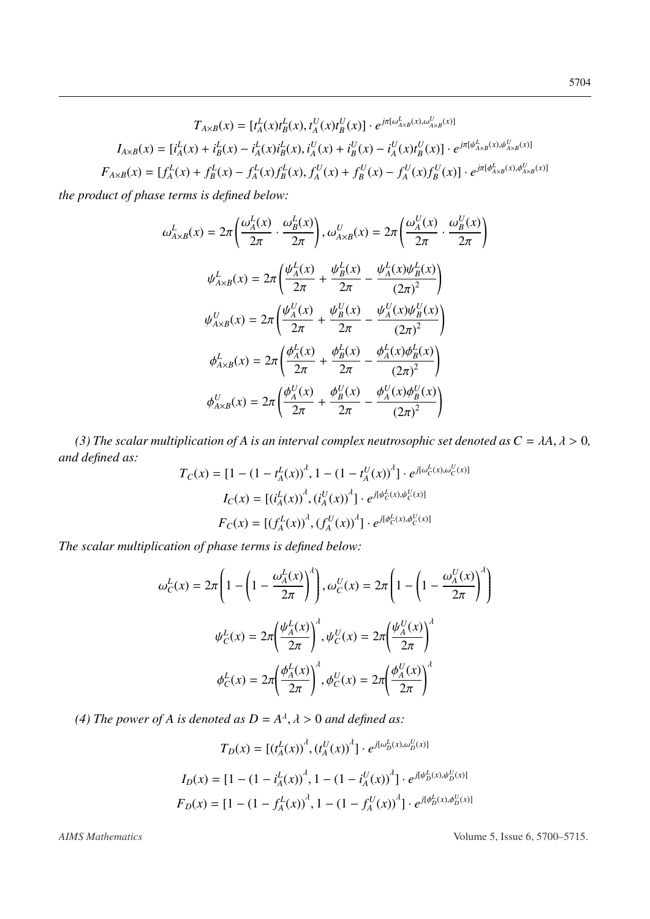$$
T_{A \times B}(x) = [t_A^L(x)t_B^L(x), t_A^U(x)t_B^U(x)] \cdot e^{j\pi[\omega_{A \times B}^L(x), \omega_{A \times B}^U(x)]}
$$

$$
I_{A \times B}(x) = [t_A^L(x) + t_B^L(x) - t_A^L(x)t_B^L(x), t_A^U(x) + t_B^U(x) - t_A^U(x)t_B^U(x)] \cdot e^{j\pi[\psi_{A \times B}^L(x), \psi_{A \times B}^U(x)]}
$$

$$
F_{A \times B}(x) = [f_A^L(x) + f_B^L(x) - f_A^L(x)f_B^L(x), f_A^U(x) + f_B^U(x) - f_A^U(x)f_B^U(x)] \cdot e^{j\pi[\phi_{A \times B}^L(x), \phi_{A \times B}^U(x)]}
$$

*the product of phase terms is defined below:*

$$
\omega_{A \times B}^{L}(x) = 2\pi \left( \frac{\omega_{A}^{L}(x)}{2\pi} \cdot \frac{\omega_{B}^{L}(x)}{2\pi} \right), \omega_{A \times B}^{U}(x) = 2\pi \left( \frac{\omega_{A}^{U}(x)}{2\pi} \cdot \frac{\omega_{B}^{U}(x)}{2\pi} \right)
$$

$$
\psi_{A \times B}^{L}(x) = 2\pi \left( \frac{\psi_{A}^{L}(x)}{2\pi} + \frac{\psi_{B}^{L}(x)}{2\pi} - \frac{\psi_{A}^{L}(x)\psi_{B}^{L}(x)}{(2\pi)^{2}} \right)
$$

$$
\psi_{A \times B}^{U}(x) = 2\pi \left( \frac{\psi_{A}^{U}(x)}{2\pi} + \frac{\psi_{B}^{U}(x)}{2\pi} - \frac{\psi_{A}^{U}(x)\psi_{B}^{U}(x)}{(2\pi)^{2}} \right)
$$

$$
\phi_{A \times B}^{L}(x) = 2\pi \left( \frac{\phi_{A}^{L}(x)}{2\pi} + \frac{\phi_{B}^{L}(x)}{2\pi} - \frac{\phi_{A}^{L}(x)\phi_{B}^{L}(x)}{(2\pi)^{2}} \right)
$$

$$
\phi_{A \times B}^{U}(x) = 2\pi \left( \frac{\phi_{A}^{U}(x)}{2\pi} + \frac{\phi_{B}^{U}(x)}{2\pi} - \frac{\phi_{A}^{U}(x)\phi_{B}^{U}(x)}{(2\pi)^{2}} \right)
$$

*(3) The scalar multiplication of A is an interval complex neutrosophic set denoted as*  $C = \lambda A, \lambda > 0$ *, d defined as: and defined as: L*

$$
T_C(x) = [1 - (1 - t_A^L(x))^{A}, 1 - (1 - t_A^U(x))^{A}] \cdot e^{j[\omega_C^L(x), \omega_C^U(x)]}
$$

$$
I_C(x) = [(i_A^L(x))^{A}, (i_A^U(x))^{A}] \cdot e^{j[\psi_C^L(x), \psi_C^U(x)]}
$$

$$
F_C(x) = [(f_A^L(x))^{A}, (f_A^U(x))^{A}] \cdot e^{j[\phi_C^L(x), \phi_C^U(x)]}
$$

*The scalar multiplication of phase terms is defined below:*

$$
\omega_C^L(x) = 2\pi \left( 1 - \left( 1 - \frac{\omega_A^L(x)}{2\pi} \right)^{\lambda} \right), \omega_C^U(x) = 2\pi \left( 1 - \left( 1 - \frac{\omega_A^U(x)}{2\pi} \right)^{\lambda} \right)
$$

$$
\psi_C^L(x) = 2\pi \left( \frac{\psi_A^L(x)}{2\pi} \right)^{\lambda}, \psi_C^U(x) = 2\pi \left( \frac{\psi_A^U(x)}{2\pi} \right)^{\lambda}
$$

$$
\phi_C^L(x) = 2\pi \left( \frac{\phi_A^L(x)}{2\pi} \right)^{\lambda}, \phi_C^U(x) = 2\pi \left( \frac{\phi_A^U(x)}{2\pi} \right)^{\lambda}
$$

(4) The power of A is denoted as  $D = A^{\lambda}, \lambda > 0$  and defined as:

$$
T_D(x) = \left[ (t_A^L(x))^{A}, (t_A^U(x))^{A} \right] \cdot e^{j[\omega_D^L(x), \omega_D^U(x)]}
$$

$$
I_D(x) = \left[ 1 - (1 - i_A^L(x))^{A}, 1 - (1 - i_A^U(x))^{A} \right] \cdot e^{j[\psi_D^L(x), \psi_D^U(x)]}
$$

$$
F_D(x) = \left[ 1 - (1 - f_A^L(x))^{A}, 1 - (1 - f_A^U(x))^{A} \right] \cdot e^{j[\phi_D^L(x), \phi_D^U(x)]}
$$

*AIMS Mathematics* Volume 5, Issue 6, 5700–5715.

!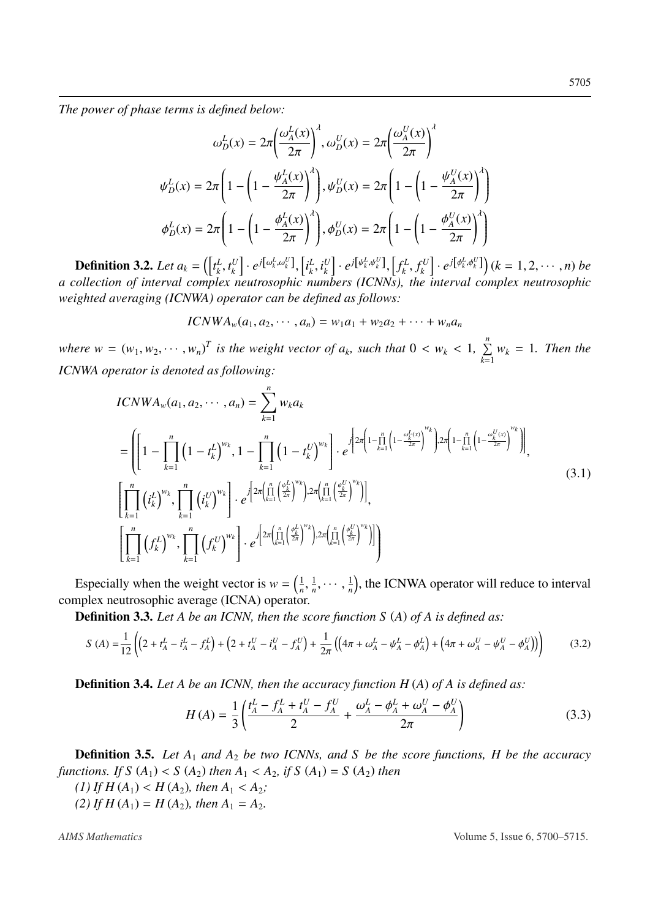*The power of phase terms is defined below:*

$$
\omega_D^L(x) = 2\pi \left(\frac{\omega_A^L(x)}{2\pi}\right)^{\lambda}, \omega_D^U(x) = 2\pi \left(\frac{\omega_A^U(x)}{2\pi}\right)^{\lambda}
$$

$$
\psi_D^L(x) = 2\pi \left(1 - \left(1 - \frac{\psi_A^L(x)}{2\pi}\right)^{\lambda}\right), \psi_D^U(x) = 2\pi \left(1 - \left(1 - \frac{\psi_A^U(x)}{2\pi}\right)^{\lambda}\right)
$$

$$
\phi_D^L(x) = 2\pi \left(1 - \left(1 - \frac{\phi_A^L(x)}{2\pi}\right)^{\lambda}\right), \phi_D^U(x) = 2\pi \left(1 - \left(1 - \frac{\phi_A^U(x)}{2\pi}\right)^{\lambda}\right)
$$

**Definition 3.2.** Let  $a_k = \left(\begin{bmatrix} t_k^L \end{bmatrix}\right)$  $\frac{L}{k}$ ,  $t_k^U$ <br>*Lox*  $\left[ \begin{matrix} u_k^U \end{matrix} \right] \cdot e^{j \left[\begin{matrix} \omega_k^L, \omega_k^U \end{matrix} \right]}, \left[\begin{matrix} l_k^L \end{matrix} \right]$ *a collection of interval complex neutrosophic numbers (ICNNs), the interval complex neutrosophic*  $\frac{L}{k}$ ,  $i_k^U$  $\left[ \begin{matrix} U \ k \end{matrix} \right] \cdot e^{j\left[\psi^L_k, \psi^U_k\right]}, \left[ \begin{matrix} f^L_k \end{matrix} \right]$  $\int_k^L$ ,  $f_k^U$ <br>*the*  $\left[ e^{iU} \right] \cdot e^{j\left[\phi^L_k, \phi^U_k\right]}$   $(k = 1, 2, \dots, n)$  *be weighted averaging (ICNWA) operator can be defined as follows:*

$$
ICNWA_w(a_1, a_2, \cdots, a_n) = w_1a_1 + w_2a_2 + \cdots + w_na_n
$$

*where*  $w = (w_1, w_2, \dots, w_n)^T$  *is the weight vector of*  $a_k$ *, such that*  $0 < w_k < 1$ ,  $\sum_{k=1}^n a_k$  $\sum_{k=1}$   $w_k = 1$ *. Then the ICNWA operator is denoted as following:*

$$
ICNWA_{w}(a_{1}, a_{2}, \cdots, a_{n}) = \sum_{k=1}^{n} w_{k}a_{k}
$$
\n
$$
= \left( \left[ 1 - \prod_{k=1}^{n} \left( 1 - t_{k}^{L} \right)^{w_{k}}, 1 - \prod_{k=1}^{n} \left( 1 - t_{k}^{U} \right)^{w_{k}} \right] \cdot e^{j \left[ 2\pi \left( 1 - \prod_{k=1}^{n} \left( 1 - \frac{\omega_{k}^{L(x)}}{2\pi} \right)^{w_{k}} \right) \cdot 2\pi \left( 1 - \prod_{k=1}^{n} \left( 1 - \frac{\omega_{k}^{U(x)}}{2\pi} \right)^{w_{k}} \right) \right]},
$$
\n
$$
\left[ \prod_{k=1}^{n} \left( t_{k}^{L} \right)^{w_{k}}, \prod_{k=1}^{n} \left( t_{k}^{U} \right)^{w_{k}} \right] \cdot e^{j \left[ 2\pi \left( \prod_{k=1}^{n} \left( \frac{\omega_{k}^{L}}{2\pi} \right)^{w_{k}} \right) \cdot 2\pi \left( \prod_{k=1}^{n} \left( \frac{\omega_{k}^{U}}{2\pi} \right)^{w_{k}} \right) \right]},
$$
\n
$$
\left[ \prod_{k=1}^{n} \left( f_{k}^{L} \right)^{w_{k}}, \prod_{k=1}^{n} \left( f_{k}^{U} \right)^{w_{k}} \right] \cdot e^{j \left[ 2\pi \left( \prod_{k=1}^{n} \left( \frac{\phi_{k}^{L}}{2\pi} \right)^{w_{k}} \right) \cdot 2\pi \left( \prod_{k=1}^{n} \left( \frac{\phi_{k}^{U}}{2\pi} \right)^{w_{k}} \right) \right] \right)}
$$
\n
$$
(3.1)
$$

Especially when the weight vector is  $w = \left(\frac{1}{n}\right)^n$ *n* , complex neutrosophic average (ICNA) operator. 1  $\frac{1}{n}, \cdots, \frac{1}{n}$  $\frac{1}{n}$ , the ICNWA operator will reduce to interval

Definition 3.3. *Let A be an ICNN, then the score function S* (*A*) *of A is defined as:*

$$
S(A) = \frac{1}{12} \left( \left( 2 + t_A^L - i_A^L - f_A^L \right) + \left( 2 + t_A^U - i_A^U - f_A^U \right) + \frac{1}{2\pi} \left( \left( 4\pi + \omega_A^L - \psi_A^L - \phi_A^L \right) + \left( 4\pi + \omega_A^U - \psi_A^U - \phi_A^U \right) \right) \right) \tag{3.2}
$$

Definition 3.4. *Let A be an ICNN, then the accuracy function H* (*A*) *of A is defined as:*

$$
H(A) = \frac{1}{3} \left( \frac{t_A^L - f_A^L + t_A^U - f_A^U}{2} + \frac{\omega_A^L - \phi_A^L + \omega_A^U - \phi_A^U}{2\pi} \right)
$$
(3.3)

Definition 3.5. *Let A*<sup>1</sup> *and A*<sup>2</sup> *be two ICNNs, and S be the score functions, H be the accuracy functions. If*  $S(A_1) < S(A_2)$  *then*  $A_1 < A_2$ *, if*  $S(A_1) = S(A_2)$  *then* 

(1) If  $H(A_1) < H(A_2)$ , then  $A_1 < A_2$ ;

(2) If  $H(A_1) = H(A_2)$ , then  $A_1 = A_2$ .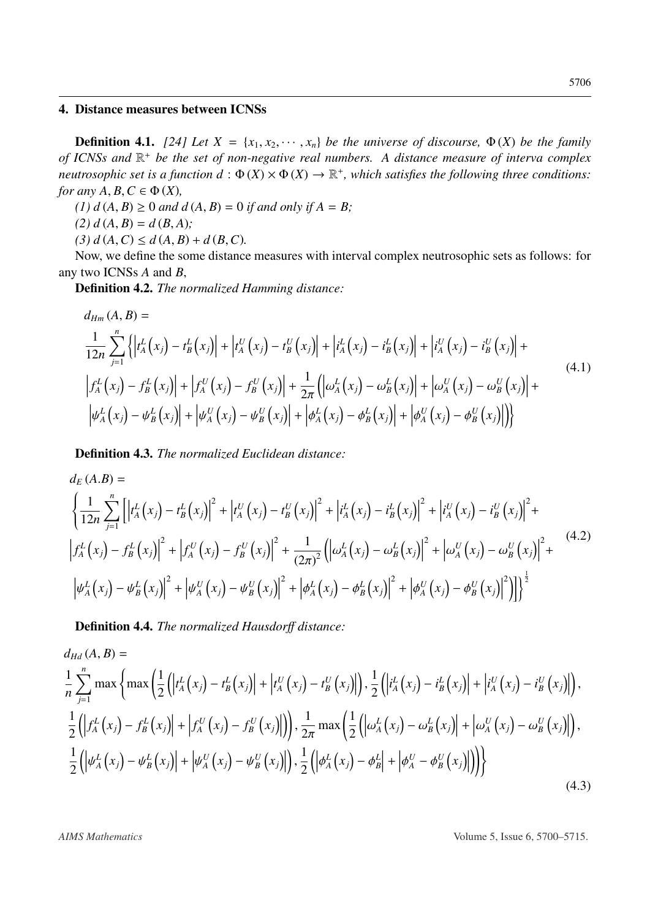#### 4. Distance measures between ICNSs

**Definition 4.1.** [\[24\]](#page-15-3) Let  $X = \{x_1, x_2, \dots, x_n\}$  be the universe of discourse,  $\Phi(X)$  be the family *of ICNSs and* R <sup>+</sup> *be the set of non-negative real numbers. A distance measure of interva complex neutrosophic set is a function*  $d: \Phi(X) \times \Phi(X) \to \mathbb{R}^+$ *, which satisfies the following three conditions: for any A*,  $B, C \in \Phi(X)$ ,

*(1)*  $d(A, B) \ge 0$  *and*  $d(A, B) = 0$  *if and only if*  $A = B$ ;

 $(2) d(A, B) = d(B, A);$ 

 $(3) d(A, C) \leq d(A, B) + d(B, C).$ 

Now, we define the some distance measures with interval complex neutrosophic sets as follows: for any two ICNSs *A* and *B*,

Definition 4.2. *The normalized Hamming distance:*

$$
d_{Hm}(A, B) =
$$
\n
$$
\frac{1}{12n} \sum_{j=1}^{n} \left\{ \left| t_A^L(x_j) - t_B^L(x_j) \right| + \left| t_A^U(x_j) - t_B^U(x_j) \right| + \left| t_A^L(x_j) - t_B^L(x_j) \right| + \left| t_A^U(x_j) - t_B^U(x_j) \right| + \left| t_A^U(x_j) - t_B^L(x_j) \right| + \left| t_A^U(x_j) - t_B^U(x_j) \right| + \left| t_A^U(x_j) - t_B^U(x_j) \right| + \left| t_A^U(x_j) - t_B^U(x_j) \right| + \left| t_A^U(x_j) - t_B^U(x_j) \right| + \left| t_A^U(x_j) - t_B^U(x_j) \right| + \left| t_A^U(x_j) - t_B^U(x_j) \right| + \left| t_A^U(x_j) - t_B^U(x_j) \right| + \left| t_A^U(x_j) - t_B^U(x_j) \right| \right\}
$$
\n(4.1)

Definition 4.3. *The normalized Euclidean distance:*

$$
d_{E}(A.B) =
$$
\n
$$
\left\{ \frac{1}{12n} \sum_{j=1}^{n} \left[ \left| t_{A}^{L}(x_{j}) - t_{B}^{L}(x_{j}) \right|^{2} + \left| t_{A}^{U}(x_{j}) - t_{B}^{U}(x_{j}) \right|^{2} + \left| t_{A}^{L}(x_{j}) - t_{B}^{L}(x_{j}) \right|^{2} + \left| t_{A}^{U}(x_{j}) - t_{B}^{U}(x_{j}) \right|^{2} + \left| t_{A}^{U}(x_{j}) - t_{B}^{U}(x_{j}) \right|^{2} + \left| t_{A}^{L}(x_{j}) - t_{B}^{L}(x_{j}) \right|^{2} + \left| t_{A}^{L}(x_{j}) - t_{B}^{L}(x_{j}) \right|^{2} + \left| t_{A}^{U}(x_{j}) - t_{B}^{U}(x_{j}) \right|^{2} + \left| t_{A}^{U}(x_{j}) - t_{B}^{L}(x_{j}) \right|^{2} + \left| t_{A}^{U}(x_{j}) - t_{B}^{U}(x_{j}) \right|^{2} + \left| t_{A}^{U}(x_{j}) - t_{B}^{L}(x_{j}) \right|^{2} + \left| t_{A}^{U}(x_{j}) - t_{B}^{U}(x_{j}) \right|^{2} + \left| t_{A}^{U}(x_{j}) - t_{B}^{U}(x_{j}) \right|^{2} + \left| t_{A}^{U}(x_{j}) - t_{B}^{U}(x_{j}) \right|^{2} \right|^{2}
$$
\n
$$
(4.2)
$$

Definition 4.4. *The normalized Hausdor*ff *distance:*

$$
d_{Hd}(A, B) =
$$
\n
$$
\frac{1}{n} \sum_{j=1}^{n} \max \left\{ \max \left( \frac{1}{2} \left( \left| t_A^L(x_j) - t_B^L(x_j) \right| + \left| t_A^U(x_j) - t_B^U(x_j) \right| \right), \frac{1}{2} \left( \left| t_A^L(x_j) - t_B^L(x_j) \right| + \left| t_A^U(x_j) - t_B^U(x_j) \right| \right), \right. \\ \frac{1}{2} \left( \left| f_A^L(x_j) - f_B^L(x_j) \right| + \left| f_A^U(x_j) - f_B^U(x_j) \right| \right), \frac{1}{2\pi} \max \left( \frac{1}{2} \left( \left| \omega_A^L(x_j) - \omega_B^L(x_j) \right| + \left| \omega_A^U(x_j) - \omega_B^U(x_j) \right| \right), \right. \\ \frac{1}{2} \left( \left| \omega_A^L(x_j) - \omega_B^L(x_j) \right| + \left| \omega_A^U(x_j) - \psi_B^U(x_j) \right| \right), \frac{1}{2} \left( \left| \phi_A^L(x_j) - \phi_B^L \right| + \left| \phi_A^U - \phi_B^U(x_j) \right| \right) \right) \right\}
$$
\n
$$
(4.3)
$$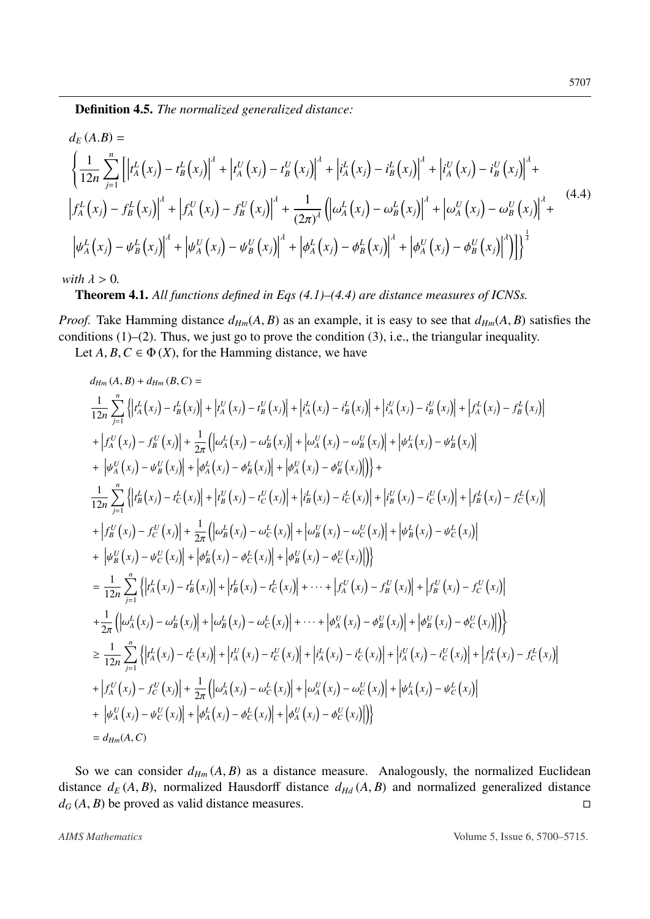Definition 4.5. *The normalized generalized distance:*

$$
d_{E}(A.B) =
$$
\n
$$
\left\{ \frac{1}{12n} \sum_{j=1}^{n} \left[ \left| t_{A}^{L}(x_{j}) - t_{B}^{L}(x_{j}) \right|^{2} + \left| t_{A}^{U}(x_{j}) - t_{B}^{U}(x_{j}) \right|^{2} + \left| t_{A}^{L}(x_{j}) - t_{B}^{L}(x_{j}) \right|^{2} + \left| t_{A}^{U}(x_{j}) - t_{B}^{U}(x_{j}) \right|^{2} + \left| t_{A}^{L}(x_{j}) - t_{B}^{L}(x_{j}) \right|^{2} + \left| t_{A}^{L}(x_{j}) - t_{B}^{L}(x_{j}) \right|^{2} + \left| t_{A}^{L}(x_{j}) - t_{B}^{L}(x_{j}) \right|^{2} + \left| t_{A}^{L}(x_{j}) - t_{B}^{L}(x_{j}) \right|^{2} + \left| t_{A}^{L}(x_{j}) - t_{B}^{L}(x_{j}) \right|^{2} + \left| t_{A}^{L}(x_{j}) - t_{B}^{L}(x_{j}) \right|^{2} + \left| t_{A}^{L}(x_{j}) - t_{B}^{L}(x_{j}) \right|^{2} + \left| t_{A}^{L}(x_{j}) - t_{B}^{L}(x_{j}) \right|^{2} + \left| t_{A}^{L}(x_{j}) - t_{B}^{L}(x_{j}) \right|^{2} + \left| t_{A}^{L}(x_{j}) - t_{B}^{L}(x_{j}) \right|^{2} \right|^{2}
$$
\n
$$
(4.4)
$$

*with*  $\lambda > 0$ *.* 

Theorem 4.1. *All functions defined in Eqs (4.1)–(4.4) are distance measures of ICNSs.*

*Proof.* Take Hamming distance  $d_{Hm}(A, B)$  as an example, it is easy to see that  $d_{Hm}(A, B)$  satisfies the conditions (1)–(2). Thus, we just go to prove the condition (3), i.e., the triangular inequality.

Let  $A, B, C \in \Phi(X)$ , for the Hamming distance, we have

$$
d_{Hm}(A, B) + d_{Hm}(B, C) =
$$
\n
$$
\frac{1}{12n} \sum_{j=1}^{n} \left\{ \left| t_{A}^{L}(x_{j}) - t_{B}^{L}(x_{j}) \right| + \left| t_{A}^{U}(x_{j}) - t_{B}^{U}(x_{j}) \right| + \left| t_{A}^{L}(x_{j}) - t_{B}^{L}(x_{j}) \right| + \left| t_{A}^{U}(x_{j}) - t_{B}^{U}(x_{j}) \right| + \left| t_{A}^{L}(x_{j}) - t_{B}^{U}(x_{j}) \right| + \left| t_{A}^{L}(x_{j}) - t_{B}^{L}(x_{j}) \right| + \left| t_{A}^{L}(x_{j}) - t_{B}^{L}(x_{j}) \right| + \left| t_{A}^{L}(x_{j}) - t_{B}^{L}(x_{j}) \right| + \left| t_{A}^{L}(x_{j}) - t_{B}^{L}(x_{j}) \right| + \left| t_{A}^{L}(x_{j}) - t_{B}^{L}(x_{j}) \right| + \left| t_{A}^{L}(x_{j}) - t_{B}^{L}(x_{j}) \right| + \left| t_{A}^{L}(x_{j}) - t_{B}^{L}(x_{j}) \right| + \left| t_{A}^{L}(x_{j}) - t_{B}^{L}(x_{j}) \right| + \left| t_{B}^{L}(x_{j}) - t_{C}^{L}(x_{j}) \right| + \left| t_{B}^{L}(x_{j}) - t_{C}^{L}(x_{j}) \right| + \left| t_{B}^{L}(x_{j}) - t_{C}^{L}(x_{j}) \right| + \left| t_{B}^{L}(x_{j}) - t_{C}^{L}(x_{j}) \right| + \left| t_{B}^{L}(x_{j}) - t_{C}^{L}(x_{j}) \right| + \left| t_{B}^{L}(x_{j}) - t_{C}^{L}(x_{j}) \right| + \left| t_{B}^{L}(x_{j}) - t_{C}^{L}(x_{j}) \right| + \left| t_{B}^{L}(x_{j}) - t_{C}^{L}(x_{j}) \right| + \left| t_{B}^{L}(x_{j}) - t_{C}^{L}(x_{j}) \right| + \left| t_{B}^{L}(x_{j}) - t_{C}^{L}(x_{j}) \right| + \left| t_{B}^{L}(x_{j}) - t_{
$$

So we can consider  $d_{Hm}(A, B)$  as a distance measure. Analogously, the normalized Euclidean distance  $d_E(A, B)$ , normalized Hausdorff distance  $d_{Hd}(A, B)$  and normalized generalized distance  $d_G(A, B)$  be proved as valid distance measures.  $d_G(A, B)$  be proved as valid distance measures.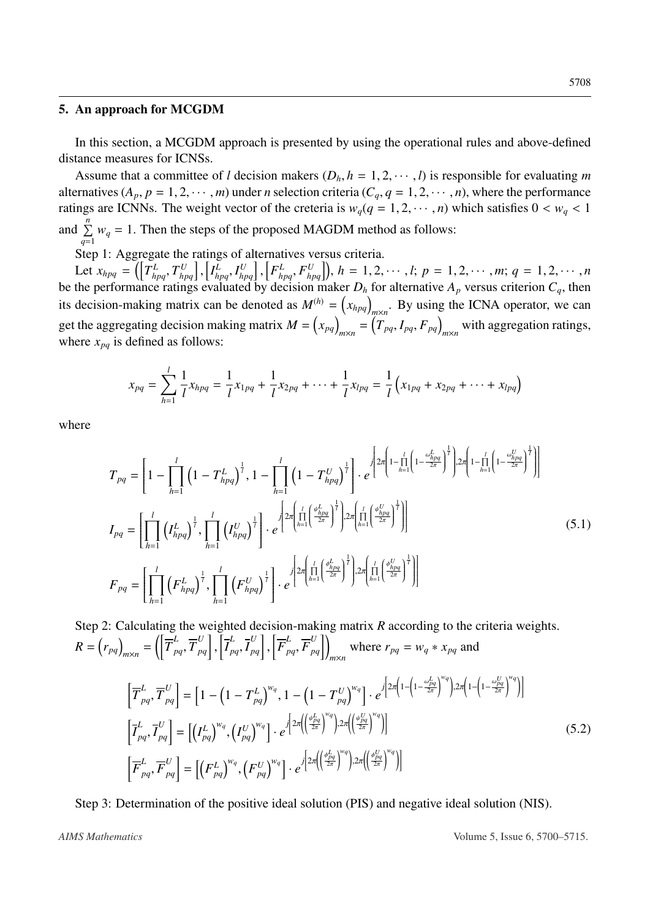#### 5. An approach for MCGDM

In this section, a MCGDM approach is presented by using the operational rules and above-defined distance measures for ICNSs.

Assume that a committee of *l* decision makers  $(D_h, h = 1, 2, \dots, l)$  is responsible for evaluating *m* alternatives  $(A_p, p = 1, 2, \dots, m)$  under *n* selection criteria  $(C_q, q = 1, 2, \dots, n)$ , where the performance ratings are ICNNs. The weight vector of the creteria is  $w_q(q = 1, 2, \dots, n)$  which satisfies  $0 < w_q < 1$ and  $\sum_{n=1}^n$  $\sum_{q=1} w_q = 1$ . Then the steps of the proposed MAGDM method as follows:

Step 1: Aggregate the ratings of alternatives versus criteria.

Let  $x_{hpq} = \left(\left[T_{hpq}^L, T_{hpq}^U\right],\right)$ <br>the performance ratings  $\left[I_{hpq}^L, I_{hpq}^U\right],$ Let  $x_{hpq} = (\left[T_{hpq}^L, T_{hpq}^U\right], \left[T_{hpq}^L, I_{hpq}^U\right], \left[F_{hpq}^L, F_{hpq}^U\right])$ ,  $h = 1, 2, \dots, l; p = 1, 2, \dots, m; q = 1, 2, \dots, n$ <br>be the performance ratings evaluated by decision maker  $D_h$  for alternative  $A_p$  versus criterion  $C_q$ , th its decision-making matrix can be denoted as  $M^{(h)} = (x_{hpq})_{m \times n}$ . By using the ICNA operator, we can get the aggregating decision making matrix  $M = (x_{pq})_{m \times n} = (T_{pq}, I_{pq}, F_{pq})_{m \times n}$  with aggregation ratings, where  $x_{pq}$  is defined as follows:

$$
x_{pq} = \sum_{h=1}^{l} \frac{1}{l} x_{hpq} = \frac{1}{l} x_{1pq} + \frac{1}{l} x_{2pq} + \dots + \frac{1}{l} x_{lpq} = \frac{1}{l} \left( x_{1pq} + x_{2pq} + \dots + x_{lpq} \right)
$$

where

$$
T_{pq} = \left[1 - \prod_{h=1}^{l} \left(1 - T_{hpq}^{L}\right)^{\frac{1}{l}}, 1 - \prod_{h=1}^{l} \left(1 - T_{hpq}^{U}\right)^{\frac{1}{l}}\right] \cdot e^{\int \left[2\pi \left(1 - \prod_{h=1}^{l} \left(1 - \frac{\omega_{hpq}^{L}}{2\pi}\right)^{\frac{1}{l}}\right)\cdot 2\pi \left(1 - \prod_{h=1}^{l} \left(1 - \frac{\omega_{hpq}^{U}}{2\pi}\right)^{\frac{1}{l}}\right)\right]}
$$
  
\n
$$
I_{pq} = \left[\prod_{h=1}^{l} \left(I_{hpq}^{L}\right)^{\frac{1}{l}}, \prod_{h=1}^{l} \left(I_{hpq}^{U}\right)^{\frac{1}{l}}\right] \cdot e^{\int \left[2\pi \left(\prod_{h=1}^{l} \left(\frac{\omega_{hpq}^{L}}{2\pi}\right)^{\frac{1}{l}}\right)\cdot 2\pi \left(\prod_{h=1}^{l} \left(\frac{\omega_{hpq}^{U}}{2\pi}\right)^{\frac{1}{l}}\right)\right]}
$$
  
\n
$$
F_{pq} = \left[\prod_{h=1}^{l} \left(F_{hpq}^{L}\right)^{\frac{1}{l}}, \prod_{h=1}^{l} \left(F_{hpq}^{U}\right)^{\frac{1}{l}}\right] \cdot e^{\int \left[2\pi \left(\prod_{h=1}^{l} \left(\frac{\phi_{hpq}^{L}}{2\pi}\right)^{\frac{1}{l}}\right)\cdot 2\pi \left(\prod_{h=1}^{l} \left(\frac{\phi_{hpq}^{U}}{2\pi}\right)^{\frac{1}{l}}\right)\right]}
$$
  
\n(5.1)

Step 2: Calculating the weighted decision-making matrix *R* according to the criteria weights.  $R = \left(r_{pq}\right)_{m \times n} = \left(\left[\overline{T}_{pq}^{L}, \overline{T}_{pq}^{U}\right],\right)$  $\left[\overline{I}_{pq}^{L}, \overline{I}_{pq}^{U}\right],$  $\left[ \overline{F}_{pq}^{L}, \overline{F}_{pq}^{U} \right]$  where  $r_{pq} = w_q * x_{pq}$  and

$$
\left[\overline{T}_{pq}^{L}, \overline{T}_{pq}^{U}\right] = \left[1 - \left(1 - T_{pq}^{L}\right)^{w_{q}}, 1 - \left(1 - T_{pq}^{U}\right)^{w_{q}}\right] \cdot e^{j\left[2\pi\left(1 - \left(1 - \frac{\omega_{pq}^{L}}{2\pi}\right)^{w_{q}}\right)\right] \cdot 2\pi\left(1 - \left(1 - \frac{\omega_{pq}^{U}}{2\pi}\right)^{w_{q}}\right)\right]}
$$
\n
$$
\left[\overline{T}_{pq}^{L}, \overline{T}_{pq}^{U}\right] = \left[\left(I_{pq}^{L}\right)^{w_{q}}, \left(I_{pq}^{U}\right)^{w_{q}}\right] \cdot e^{j\left[2\pi\left(\left(\frac{\psi_{pq}^{L}}{2\pi}\right)^{w_{q}}\right)\right] \cdot 2\pi\left(\left(\frac{\psi_{pq}^{U}}{2\pi}\right)^{w_{q}}\right)\right]}
$$
\n
$$
\left[\overline{F}_{pq}^{L}, \overline{F}_{pq}^{U}\right] = \left[\left(F_{pq}^{L}\right)^{w_{q}}, \left(F_{pq}^{U}\right)^{w_{q}}\right] \cdot e^{j\left[2\pi\left(\left(\frac{\phi_{pq}^{L}}{2\pi}\right)^{w_{q}}\right)\right] \cdot 2\pi\left(\left(\frac{\phi_{pq}^{U}}{2\pi}\right)^{w_{q}}\right)\right]}
$$
\n(5.2)

Step 3: Determination of the positive ideal solution (PIS) and negative ideal solution (NIS).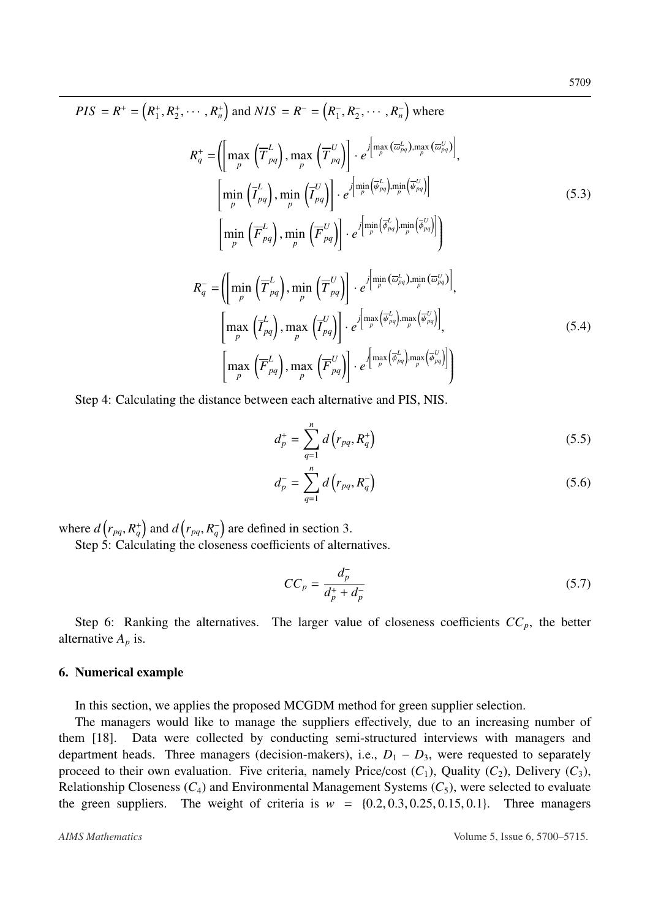$$
PIS = R^{+} = (R_{1}^{+}, R_{2}^{+}, \cdots, R_{n}^{+}) \text{ and } NIS = R^{-} = (R_{1}^{-}, R_{2}^{-}, \cdots, R_{n}^{-}) \text{ where}
$$
\n
$$
R_{q}^{+} = (\left[\max_{p} \left(\overline{T}_{pq}^{L}\right), \max_{p} \left(\overline{T}_{pq}^{U}\right)\right] \cdot e^{\int_{\left[\max_{p} \left(\overline{\omega}_{pq}^{L}\right), \max_{p} \left(\overline{\omega}_{pq}^{U}\right)\right]},
$$
\n
$$
\left[\min_{p} \left(\overline{I}_{pq}^{L}\right), \min_{p} \left(\overline{I}_{pq}^{U}\right)\right] \cdot e^{\int_{\left[\min_{p} \left(\overline{\omega}_{pq}^{L}\right), \min_{p} \left(\overline{\omega}_{pq}^{U}\right)\right]} \cdot e^{\int_{\left[\min_{p} \left(\overline{\omega}_{pq}^{L}\right), \min_{p} \left(\overline{\omega}_{pq}^{U}\right)\right]} \cdot e^{\int_{\left[\min_{p} \left(\overline{\omega}_{pq}^{L}\right), \min_{p} \left(\overline{\omega}_{pq}^{U}\right)\right]}} \cdot e^{\int_{\left[\min_{p} \left(\overline{\omega}_{pq}^{L}\right), \min_{p} \left(\overline{\omega}_{pq}^{U}\right)\right]}} \cdot e^{\int_{\left[\min_{p} \left(\overline{\omega}_{pq}^{L}\right), \min_{p} \left(\overline{\omega}_{pq}^{U}\right)\right]}} \cdot e^{\int_{\left[\min_{p} \left(\overline{\omega}_{pq}^{L}\right), \min_{p} \left(\overline{\omega}_{pq}^{U}\right)\right], \dots} \cdot \left[\max_{p} \left(\overline{I}_{pq}^{L}\right), \max_{p} \left(\overline{I}_{pq}^{U}\right)\right] \cdot e^{\int_{\left[\max_{p} \left(\overline{\omega}_{pq}^{L}\right), \max_{p} \left(\overline{\omega}_{pq}^{U}\right)\right]}} \cdot e^{\int_{\left[\max_{p} \left(\overline{\omega}_{pq}^{L}\right), \max_{p} \left(\overline{\omega}_{pq}^{U}\right)\right]} \cdot e^{\int_{\left[\max_{p} \left(\overline{\omega}_{pq}^{L}\right), \max_{p} \left(\overline{\omega}_{pq}^{U}\right)\right]}} \cdot e^{\int_{\left
$$

Step 4: Calculating the distance between each alternative and PIS, NIS.

$$
d_p^+ = \sum_{q=1}^n d\left(r_{pq}, R_q^+\right) \tag{5.5}
$$

$$
d_p^- = \sum_{q=1}^n d(r_{pq}, R_q^-)
$$
 (5.6)

where  $d\left(r_{pq}, R_q^+\right)$  and  $d\left(r_{pq}, R_q^-\right)$  are defined in section 3.

Step 5: Calculating the closeness coefficients of alternatives.

$$
CC_p = \frac{d_p^-}{d_p^+ + d_p^-}
$$
\n(5.7)

Step 6: Ranking the alternatives. The larger value of closeness coefficients  $CC_p$ , the better alternative  $A_p$  is.

#### 6. Numerical example

In this section, we applies the proposed MCGDM method for green supplier selection.

The managers would like to manage the suppliers effectively, due to an increasing number of them [\[18\]](#page-14-17). Data were collected by conducting semi-structured interviews with managers and department heads. Three managers (decision-makers), i.e.,  $D_1 - D_3$ , were requested to separately proceed to their own evaluation. Five criteria, namely Price/cost  $(C_1)$ , Quality  $(C_2)$ , Delivery  $(C_3)$ , Relationship Closeness  $(C_4)$  and Environmental Management Systems  $(C_5)$ , were selected to evaluate the green suppliers. The weight of criteria is  $w = \{0.2, 0.3, 0.25, 0.15, 0.1\}$ . Three managers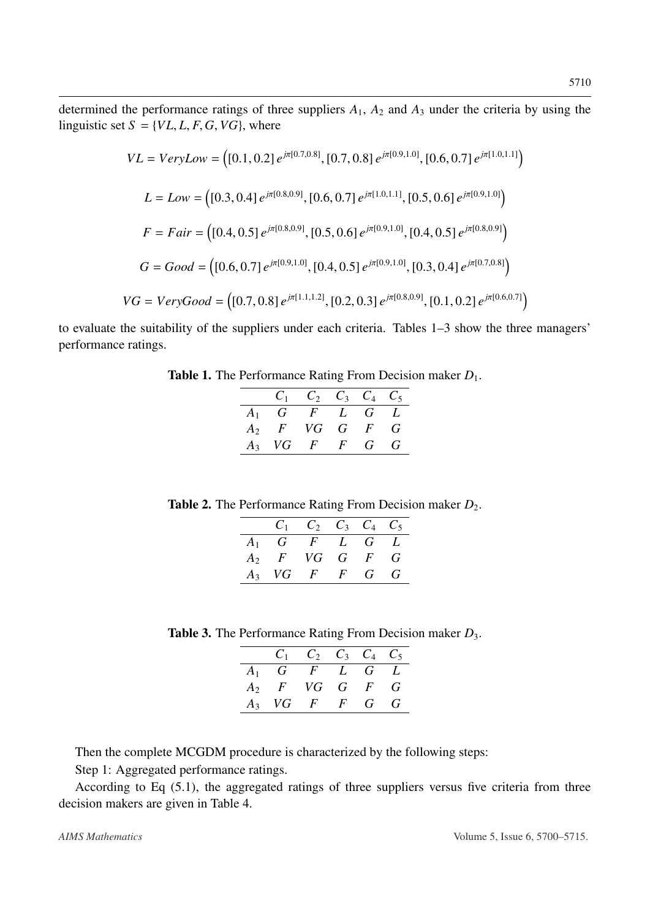determined the performance ratings of three suppliers  $A_1$ ,  $A_2$  and  $A_3$  under the criteria by using the linguistic set  $S = \{VL, L, F, G, VG\}$ , where

$$
VL = VeryLow = \left([0.1, 0.2] e^{j\pi[0.7, 0.8]}, [0.7, 0.8] e^{j\pi[0.9, 1.0]}, [0.6, 0.7] e^{j\pi[1.0, 1.1]}\right)
$$
  
\n
$$
L = Low = \left([0.3, 0.4] e^{j\pi[0.8, 0.9]}, [0.6, 0.7] e^{j\pi[1.0, 1.1]}, [0.5, 0.6] e^{j\pi[0.9, 1.0]}\right)
$$
  
\n
$$
F = Fair = \left([0.4, 0.5] e^{j\pi[0.8, 0.9]}, [0.5, 0.6] e^{j\pi[0.9, 1.0]}, [0.4, 0.5] e^{j\pi[0.8, 0.9]}\right)
$$
  
\n
$$
G = Good = \left([0.6, 0.7] e^{j\pi[0.9, 1.0]}, [0.4, 0.5] e^{j\pi[0.9, 1.0]}, [0.3, 0.4] e^{j\pi[0.7, 0.8]}\right)
$$
  
\n
$$
VG = VeryGood = \left([0.7, 0.8] e^{j\pi[1.1, 1.2]}, [0.2, 0.3] e^{j\pi[0.8, 0.9]}, [0.1, 0.2] e^{j\pi[0.6, 0.7]}\right)
$$

to evaluate the suitability of the suppliers under each criteria. Tables 1–3 show the three managers' performance ratings.

Table 1. The Performance Rating From Decision maker  $D_1$ .

|                  | $C_2$ $C_3$ $C_4$ $C_5$ |   |            |
|------------------|-------------------------|---|------------|
| $A_1$ G F L G L  |                         |   |            |
| $A_2$ F VG G F   |                         |   | $\epsilon$ |
| $A_3$ VG $F$ $F$ |                         | G | $\epsilon$ |

Table 2. The Performance Rating From Decision maker  $D_2$ .

|                  | $C_1$ $C_2$ $C_3$ $C_4$ $C_5$ |  |  |
|------------------|-------------------------------|--|--|
| $A_1$ G F L G L  |                               |  |  |
| $A_2$ F VG G F G |                               |  |  |
| $A_3$ VG F F G G |                               |  |  |

Table 3. The Performance Rating From Decision maker *D*3.

|       | $C_{1}$        |              | $C_2$ $C_3$ $C_4$ $C_5$ |   |     |
|-------|----------------|--------------|-------------------------|---|-----|
| $A_1$ |                | G F L G L    |                         |   |     |
|       | $A_2$ F VG G F |              |                         |   | - G |
| $A_3$ |                | $VG$ $F$ $F$ |                         | G | G   |

Then the complete MCGDM procedure is characterized by the following steps:

Step 1: Aggregated performance ratings.

According to Eq (5.1), the aggregated ratings of three suppliers versus five criteria from three decision makers are given in Table 4.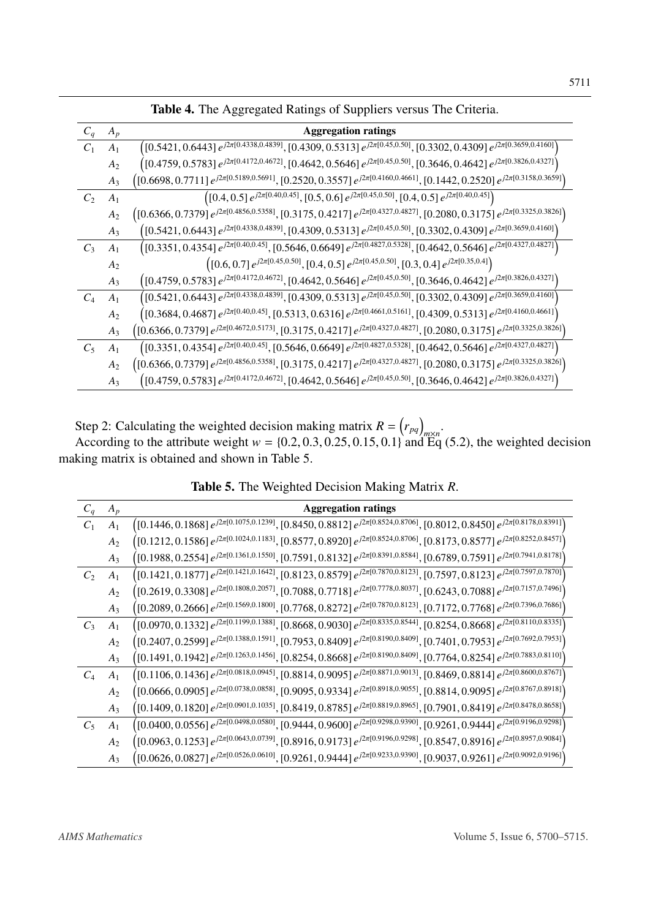| $C_q$ | $A_p$          | <b>Aggregation ratings</b>                                                                                                                       |
|-------|----------------|--------------------------------------------------------------------------------------------------------------------------------------------------|
| $C_1$ | A <sub>1</sub> | $\left([0.5421, 0.6443]\,e^{j2\pi[0.4338, 0.4839]}, [0.4309, 0.5313]\,e^{j2\pi[0.45, 0.50]}, [0.3302, 0.4309]\,e^{j2\pi[0.3659, 0.4160]}\right)$ |
|       | $A_2$          | $\left([0.4759, 0.5783]\,e^{j2\pi[0.4172, 0.4672]}, [0.4642, 0.5646]\,e^{j2\pi[0.45, 0.50]}, [0.3646, 0.4642]\,e^{j2\pi[0.3826, 0.4327]}\right)$ |
|       | $A_3$          | $($ [0.6698, 0.7711] $e^{j2\pi[0.5189, 0.5691]},$ [0.2520, 0.3557] $e^{j2\pi[0.4160, 0.4661]},$ [0.1442, 0.2520] $e^{j2\pi[0.3158, 0.3659]}$     |
| $C_2$ | $A_1$          | $($ [0.4, 0.5] $e^{j2\pi[0.40,0.45]}$ , [0.5, 0.6] $e^{j2\pi[0.45,0.50]}$ , [0.4, 0.5] $e^{j2\pi[0.40,0.45]}$                                    |
|       | A <sub>2</sub> | $($ [0.6366, 0.7379] $e^{j2\pi[0.4856, 0.5358]}$ , [0.3175, 0.4217] $e^{j2\pi[0.4327, 0.4827]}$ , [0.2080, 0.3175] $e^{j2\pi[0.3325, 0.3826]}$   |
|       | $A_3$          | $\left([0.5421,0.6443]\,e^{j2\pi[0.4338,0.4839]},[0.4309,0.5313]\,e^{j2\pi[0.45,0.50]},[0.3302,0.4309]\,e^{j2\pi[0.3659,0.4160]}\right)$         |
| $C_3$ | A <sub>1</sub> | $($ [0.3351, 0.4354] $e^{j2\pi[0.40,0.45]}$ , [0.5646, 0.6649] $e^{j2\pi[0.4827,0.5328]}$ , [0.4642, 0.5646] $e^{j2\pi[0.4327,0.4827]}$          |
|       | A <sub>2</sub> | $($ [0.6, 0.7] $e^{j2\pi[0.45, 0.50]}$ , [0.4, 0.5] $e^{j2\pi[0.45, 0.50]}$ , [0.3, 0.4] $e^{j2\pi[0.35, 0.4]}$                                  |
|       | $A_3$          | $\left([0.4759, 0.5783]\,e^{j2\pi[0.4172, 0.4672]}, [0.4642, 0.5646]\,e^{j2\pi[0.45, 0.50]}, [0.3646, 0.4642]\,e^{j2\pi[0.3826, 0.4327]}\right)$ |
| $C_4$ | A <sub>1</sub> | $^{(0.5421, 0.6443]e^{j2\pi[0.4338, 0.4839]}, [0.4309, 0.5313]e^{j2\pi[0.45, 0.50]}, [0.3302, 0.4309]e^{j2\pi[0.3659, 0.4160]},$                 |
|       | $A_2$          | $\left([0.3684, 0.4687]\,e^{j2\pi[0.40, 0.45]}, [0.5313, 0.6316]\,e^{j2\pi[0.4661, 0.5161]}, [0.4309, 0.5313]\,e^{j2\pi[0.4160, 0.4661]}\right)$ |
|       | $A_3$          | $\left([0.6366,0.7379]\,e^{j2\pi[0.4672,0.5173]},[0.3175,0.4217]\,e^{j2\pi[0.4327,0.4827]},[0.2080,0.3175]\,e^{j2\pi[0.3325,0.3826]}\right)$     |
| $C_5$ | A <sub>1</sub> | $($ [0.3351, 0.4354] $e^{j2\pi[0.40,0.45]}$ , [0.5646, 0.6649] $e^{j2\pi[0.4827,0.5328]}$ , [0.4642, 0.5646] $e^{j2\pi[0.4327,0.4827]}$          |
|       | A <sub>2</sub> | $($ [0.6366, 0.7379] $e^{j2\pi[0.4856, 0.5358]}$ , [0.3175, 0.4217] $e^{j2\pi[0.4327, 0.4827]}$ , [0.2080, 0.3175] $e^{j2\pi[0.3325, 0.3826]}$   |
|       | $A_3$          | $\left([0.4759, 0.5783]\,e^{j2\pi[0.4172, 0.4672]}, [0.4642, 0.5646]\,e^{j2\pi[0.45, 0.50]}, [0.3646, 0.4642]\,e^{j2\pi[0.3826, 0.4327]}\right)$ |
|       |                |                                                                                                                                                  |

Table 4. The Aggregated Ratings of Suppliers versus The Criteria.

Step 2: Calculating the weighted decision making matrix  $R = (r_{pq})_{m \times n}$ . According to the attribute weight  $w = \{0.2, 0.3, 0.25, 0.15, 0.1\}$  and Eq (5.2), the weighted decision king matrix is obtained and shown in Table 5. making matrix is obtained and shown in Table 5.

| $C_q$ | $A_p$          | <b>Aggregation ratings</b>                                                                                                                           |
|-------|----------------|------------------------------------------------------------------------------------------------------------------------------------------------------|
| $C_1$ | A <sub>1</sub> | $\left([0.1446, 0.1868]\,e^{j2\pi[0.1075, 0.1239]}, [0.8450, 0.8812]\,e^{j2\pi[0.8524, 0.8706]}, [0.8012, 0.8450]\,e^{j2\pi[0.8178, 0.8391]}\right)$ |
|       | $A_2$          | $\left([0.1212, 0.1586]\,e^{j2\pi[0.1024, 0.1183]}, [0.8577, 0.8920]\,e^{j2\pi[0.8524, 0.8706]}, [0.8173, 0.8577]\,e^{j2\pi[0.8252, 0.8457]}\right)$ |
|       | $A_3$          | $\left([0.1988, 0.2554]\,e^{j2\pi[0.1361, 0.1550]}, [0.7591, 0.8132]\,e^{j2\pi[0.8391, 0.8584]}, [0.6789, 0.7591]\,e^{j2\pi[0.7941, 0.8178]}\right)$ |
| $C_2$ | A <sub>1</sub> | $\left([0.1421, 0.1877]\,e^{j2\pi[0.1421, 0.1642]}, [0.8123, 0.8579]\,e^{j2\pi[0.7870, 0.8123]}, [0.7597, 0.8123]\,e^{j2\pi[0.7597, 0.7870]}\right)$ |
|       | $A_2$          | $\left([0.2619, 0.3308]\,e^{j2\pi[0.1808, 0.2057]}, [0.7088, 0.7718]\,e^{j2\pi[0.7778, 0.8037]}, [0.6243, 0.7088]\,e^{j2\pi[0.7157, 0.7496]}\right)$ |
|       | $A_3$          | $\left([0.2089, 0.2666]\,e^{j2\pi[0.1569, 0.1800]}, [0.7768, 0.8272]\,e^{j2\pi[0.7870, 0.8123]}, [0.7172, 0.7768]\,e^{j2\pi[0.7396, 0.7686]}\right)$ |
| $C_3$ | $A_1$          | $\left([0.0970, 0.1332]\,e^{j2\pi[0.1199, 0.1388]}, [0.8668, 0.9030]\,e^{j2\pi[0.8335, 0.8544]}, [0.8254, 0.8668]\,e^{j2\pi[0.8110, 0.8335]}\right)$ |
|       | $A_2$          | $\left([0.2407,0.2599]\,e^{j2\pi[0.1388,0.1591]},[0.7953,0.8409]\,e^{j2\pi[0.8190,0.8409]},[0.7401,0.7953]\,e^{j2\pi[0.7692,0.7953]}\right)$         |
|       | $A_3$          | $\left([0.1491, 0.1942]\,e^{j2\pi[0.1263, 0.1456]}, [0.8254, 0.8668]\,e^{j2\pi[0.8190, 0.8409]}, [0.7764, 0.8254]\,e^{j2\pi[0.7883, 0.8110]}\right)$ |
| $C_4$ | A <sub>1</sub> | $\left([0.1106, 0.1436]\,e^{j2\pi[0.0818, 0.0945]}, [0.8814, 0.9095]\,e^{j2\pi[0.8871, 0.9013]}, [0.8469, 0.8814]\,e^{j2\pi[0.8600, 0.8767]}\right)$ |
|       | A <sub>2</sub> | $\left([0.0666,0.0905]\,e^{j2\pi[0.0738,0.0858]},[0.9095,0.9334]\,e^{j2\pi[0.8918,0.9055]},[0.8814,0.9095]\,e^{j2\pi[0.8767,0.8918]}\right)$         |
|       | $A_3$          | $\left([0.1409, 0.1820]\,e^{j2\pi[0.0901, 0.1035]}, [0.8419, 0.8785]\,e^{j2\pi[0.8819, 0.8965]}, [0.7901, 0.8419]\,e^{j2\pi[0.8478, 0.8658]}\right)$ |
| $C_5$ | $A_1$          | $\left([0.0400,0.0556]\,e^{j2\pi[0.0498,0.0580]},[0.9444,0.9600]\,e^{j2\pi[0.9298,0.9390]},[0.9261,0.9444]\,e^{j2\pi[0.9196,0.9298]}\right)$         |
|       | $A_2$          | $\left([0.0963, 0.1253]\,e^{j2\pi[0.0643, 0.0739]}, [0.8916, 0.9173]\,e^{j2\pi[0.9196, 0.9298]}, [0.8547, 0.8916]\,e^{j2\pi[0.8957, 0.9084]}\right)$ |
|       | $A_3$          | $\left([0.0626,0.0827]\,e^{j2\pi[0.0526,0.0610]},[0.9261,0.9444]\,e^{j2\pi[0.9233,0.9390]},[0.9037,0.9261]\,e^{j2\pi[0.9092,0.9196]}\right)$         |
|       |                |                                                                                                                                                      |

Table 5. The Weighted Decision Making Matrix *R*.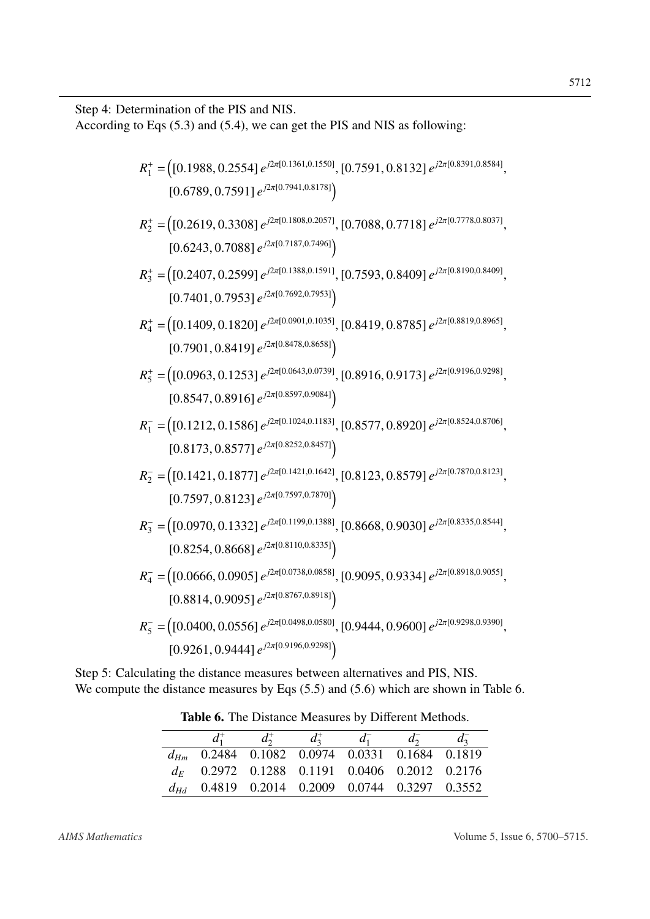Step 4: Determination of the PIS and NIS.

According to Eqs (5.3) and (5.4), we can get the PIS and NIS as following:

$$
R_{1}^{+} = ([0.1988, 0.2554] e^{j2\pi[0.1361, 0.1550]}, [0.7591, 0.8132] e^{j2\pi[0.8391, 0.8584]},
$$
  
\n
$$
[0.6789, 0.7591] e^{j2\pi[0.7941, 0.8178]}\n
$$
  
\n
$$
R_{2}^{+} = ([0.2619, 0.3308] e^{j2\pi[0.1808, 0.2057]}, [0.7088, 0.7718] e^{j2\pi[0.7778, 0.8037]},
$$
  
\n
$$
[0.6243, 0.7088] e^{j2\pi[0.7187, 0.7496]}\n
$$
  
\n
$$
R_{3}^{+} = ([0.2407, 0.2599] e^{j2\pi[0.1388, 0.1591]}, [0.7593, 0.8409] e^{j2\pi[0.8190, 0.8409]},
$$
  
\n
$$
[0.7401, 0.7953] e^{j2\pi[0.0901, 0.1035]}, [0.8419, 0.8785] e^{j2\pi[0.819, 0.8965]},
$$
  
\n
$$
[0.7901, 0.8419] e^{j2\pi[0.8478, 0.8658]}\n
$$
  
\n
$$
R_{5}^{+} = ([0.0963, 0.1253] e^{j2\pi[0.0643, 0.0739]}, [0.8916, 0.9173] e^{j2\pi[0.819, 0.9298]},
$$
  
\n
$$
[0.8547, 0.8916] e^{j2\pi[0.8597, 0.9084]}\n
$$
  
\n
$$
R_{1}^{-} = ([0.1212, 0.1586] e^{j2\pi[0.1024, 0.1183]}, [0.8916, 0.9173] e^{j2\pi[0.9196, 0.929
$$

Step 5: Calculating the distance measures between alternatives and PIS, NIS. We compute the distance measures by Eqs  $(5.5)$  and  $(5.6)$  which are shown in Table 6.

|                                                    | $d_2^+$ | $d_{2}$ | $a_{\gamma}$ |  |
|----------------------------------------------------|---------|---------|--------------|--|
| 0.2484 0.1082 0.0974 0.0331 0.1684 0.1819          |         |         |              |  |
| $d_E$ 0.2972 0.1288 0.1191 0.0406 0.2012 0.2176    |         |         |              |  |
| $d_{Hd}$ 0.4819 0.2014 0.2009 0.0744 0.3297 0.3552 |         |         |              |  |
|                                                    |         |         |              |  |

Table 6. The Distance Measures by Different Methods.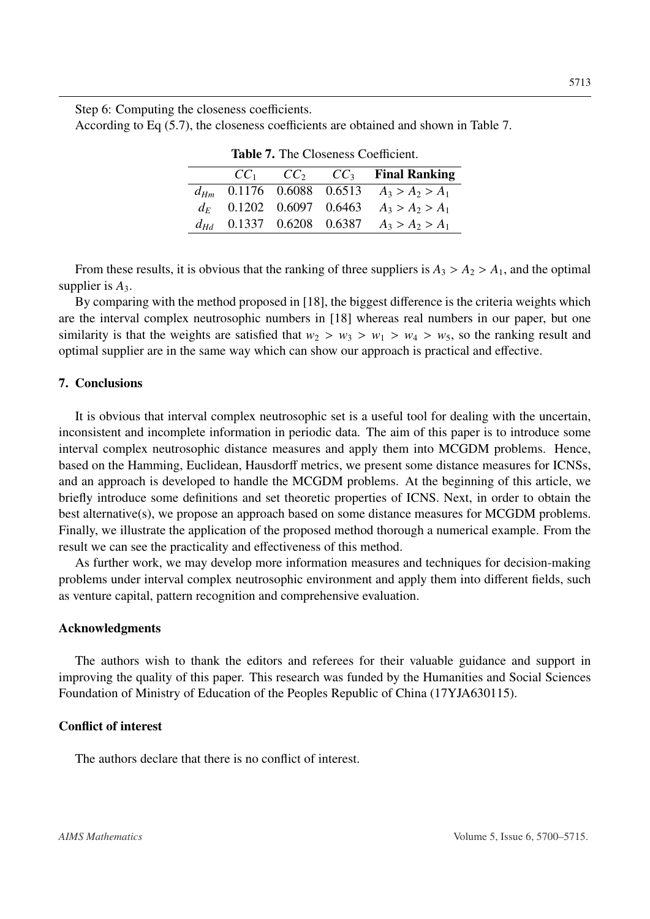Step 6: Computing the closeness coefficients.

According to Eq (5.7), the closeness coefficients are obtained and shown in Table 7.

|                               |  | $CC_1$ $CC_2$ $CC_3$ Final Ranking |
|-------------------------------|--|------------------------------------|
| $d_{Hm}$ 0.1176 0.6088 0.6513 |  | $A_3 > A_2 > A_1$                  |
| $d_E$ 0.1202 0.6097 0.6463    |  | $A_3 > A_2 > A_1$                  |
| $d_{Hd}$ 0.1337 0.6208 0.6387 |  | $A_3 > A_2 > A_1$                  |
|                               |  |                                    |

Table 7. The Closeness Coefficient.

From these results, it is obvious that the ranking of three suppliers is  $A_3 > A_2 > A_1$ , and the optimal supplier is *A*3.

By comparing with the method proposed in [\[18\]](#page-14-17), the biggest difference is the criteria weights which are the interval complex neutrosophic numbers in [\[18\]](#page-14-17) whereas real numbers in our paper, but one similarity is that the weights are satisfied that  $w_2 > w_3 > w_1 > w_4 > w_5$ , so the ranking result and optimal supplier are in the same way which can show our approach is practical and effective.

## 7. Conclusions

It is obvious that interval complex neutrosophic set is a useful tool for dealing with the uncertain, inconsistent and incomplete information in periodic data. The aim of this paper is to introduce some interval complex neutrosophic distance measures and apply them into MCGDM problems. Hence, based on the Hamming, Euclidean, Hausdorff metrics, we present some distance measures for ICNSs, and an approach is developed to handle the MCGDM problems. At the beginning of this article, we briefly introduce some definitions and set theoretic properties of ICNS. Next, in order to obtain the best alternative(s), we propose an approach based on some distance measures for MCGDM problems. Finally, we illustrate the application of the proposed method thorough a numerical example. From the result we can see the practicality and effectiveness of this method.

As further work, we may develop more information measures and techniques for decision-making problems under interval complex neutrosophic environment and apply them into different fields, such as venture capital, pattern recognition and comprehensive evaluation.

## Acknowledgments

The authors wish to thank the editors and referees for their valuable guidance and support in improving the quality of this paper. This research was funded by the Humanities and Social Sciences Foundation of Ministry of Education of the Peoples Republic of China (17YJA630115).

## Conflict of interest

The authors declare that there is no conflict of interest.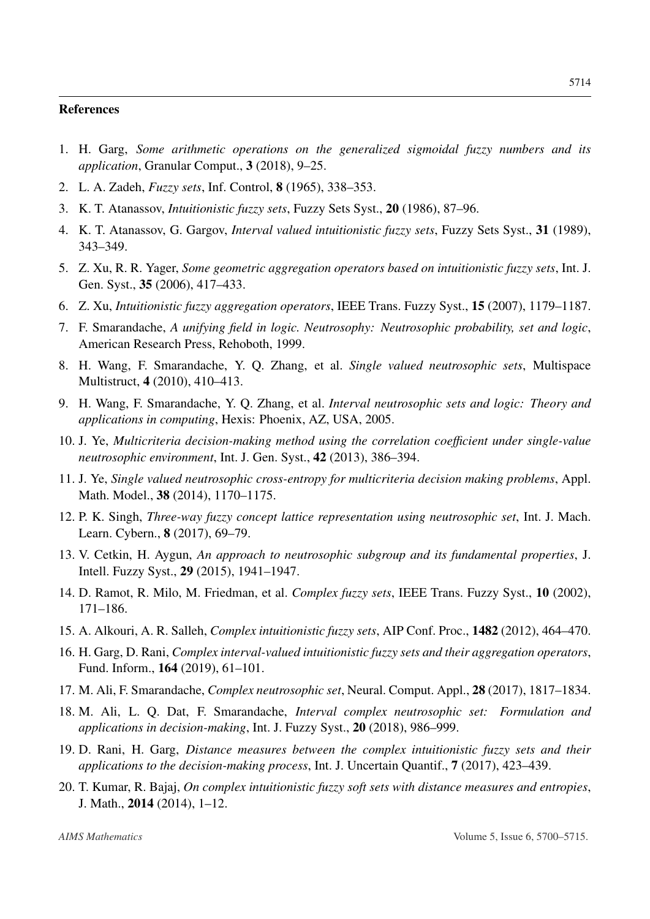#### References

- <span id="page-14-0"></span>1. H. Garg, *Some arithmetic operations on the generalized sigmoidal fuzzy numbers and its application*, Granular Comput., 3 (2018), 9–25.
- <span id="page-14-1"></span>2. L. A. Zadeh, *Fuzzy sets*, Inf. Control, 8 (1965), 338–353.
- <span id="page-14-2"></span>3. K. T. Atanassov, *Intuitionistic fuzzy sets*, Fuzzy Sets Syst., 20 (1986), 87–96.
- <span id="page-14-3"></span>4. K. T. Atanassov, G. Gargov, *Interval valued intuitionistic fuzzy sets*, Fuzzy Sets Syst., 31 (1989), 343–349.
- <span id="page-14-4"></span>5. Z. Xu, R. R. Yager, *Some geometric aggregation operators based on intuitionistic fuzzy sets*, Int. J. Gen. Syst., 35 (2006), 417–433.
- <span id="page-14-5"></span>6. Z. Xu, *Intuitionistic fuzzy aggregation operators*, IEEE Trans. Fuzzy Syst., 15 (2007), 1179–1187.
- <span id="page-14-6"></span>7. F. Smarandache, *A unifying field in logic. Neutrosophy: Neutrosophic probability, set and logic*, American Research Press, Rehoboth, 1999.
- <span id="page-14-7"></span>8. H. Wang, F. Smarandache, Y. Q. Zhang, et al. *Single valued neutrosophic sets*, Multispace Multistruct, 4 (2010), 410–413.
- <span id="page-14-8"></span>9. H. Wang, F. Smarandache, Y. Q. Zhang, et al. *Interval neutrosophic sets and logic: Theory and applications in computing*, Hexis: Phoenix, AZ, USA, 2005.
- <span id="page-14-9"></span>10. J. Ye, *Multicriteria decision-making method using the correlation coe*ffi*cient under single-value neutrosophic environment*, Int. J. Gen. Syst., 42 (2013), 386–394.
- <span id="page-14-10"></span>11. J. Ye, *Single valued neutrosophic cross-entropy for multicriteria decision making problems*, Appl. Math. Model., 38 (2014), 1170–1175.
- <span id="page-14-11"></span>12. P. K. Singh, *Three-way fuzzy concept lattice representation using neutrosophic set*, Int. J. Mach. Learn. Cybern., 8 (2017), 69–79.
- <span id="page-14-12"></span>13. V. Cetkin, H. Aygun, *An approach to neutrosophic subgroup and its fundamental properties*, J. Intell. Fuzzy Syst., 29 (2015), 1941–1947.
- <span id="page-14-13"></span>14. D. Ramot, R. Milo, M. Friedman, et al. *Complex fuzzy sets*, IEEE Trans. Fuzzy Syst., 10 (2002), 171–186.
- <span id="page-14-14"></span>15. A. Alkouri, A. R. Salleh, *Complex intuitionistic fuzzy sets*, AIP Conf. Proc., 1482 (2012), 464–470.
- <span id="page-14-15"></span>16. H. Garg, D. Rani, *Complex interval-valued intuitionistic fuzzy sets and their aggregation operators*, Fund. Inform., 164 (2019), 61–101.
- <span id="page-14-16"></span>17. M. Ali, F. Smarandache, *Complex neutrosophic set*, Neural. Comput. Appl., 28 (2017), 1817–1834.
- <span id="page-14-17"></span>18. M. Ali, L. Q. Dat, F. Smarandache, *Interval complex neutrosophic set: Formulation and applications in decision-making*, Int. J. Fuzzy Syst., 20 (2018), 986–999.
- <span id="page-14-18"></span>19. D. Rani, H. Garg, *Distance measures between the complex intuitionistic fuzzy sets and their applications to the decision-making process*, Int. J. Uncertain Quantif., 7 (2017), 423–439.
- <span id="page-14-19"></span>20. T. Kumar, R. Bajaj, *On complex intuitionistic fuzzy soft sets with distance measures and entropies*, J. Math., 2014 (2014), 1–12.

5714